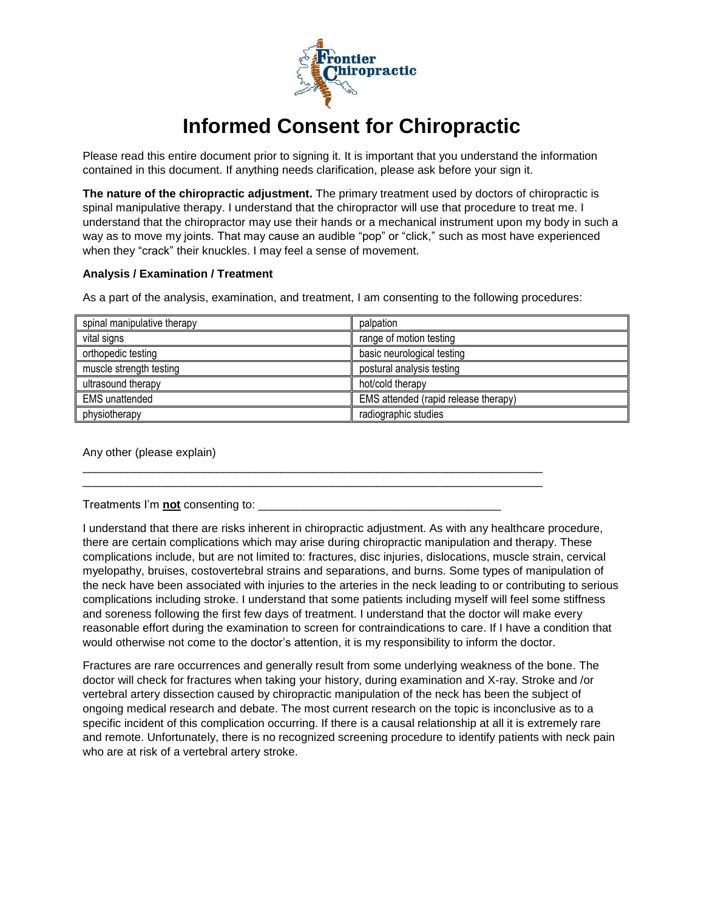

## **Informed Consent for Chiropractic**

Please read this entire document prior to signing it. It is important that you understand the information contained in this document. If anything needs clarification, please ask before your sign it.

**The nature of the chiropractic adjustment.** The primary treatment used by doctors of chiropractic is spinal manipulative therapy. I understand that the chiropractor will use that procedure to treat me. I understand that the chiropractor may use their hands or a mechanical instrument upon my body in such a way as to move my joints. That may cause an audible "pop" or "click," such as most have experienced when they "crack" their knuckles. I may feel a sense of movement.

## **Analysis / Examination / Treatment**

As a part of the analysis, examination, and treatment, I am consenting to the following procedures:

\_\_\_\_\_\_\_\_\_\_\_\_\_\_\_\_\_\_\_\_\_\_\_\_\_\_\_\_\_\_\_\_\_\_\_\_\_\_\_\_\_\_\_\_\_\_\_\_\_\_\_\_\_\_\_\_\_\_\_\_\_\_\_\_\_\_\_\_\_\_\_\_ \_\_\_\_\_\_\_\_\_\_\_\_\_\_\_\_\_\_\_\_\_\_\_\_\_\_\_\_\_\_\_\_\_\_\_\_\_\_\_\_\_\_\_\_\_\_\_\_\_\_\_\_\_\_\_\_\_\_\_\_\_\_\_\_\_\_\_\_\_\_\_\_

| spinal manipulative therapy | palpation                            |
|-----------------------------|--------------------------------------|
| vital signs                 | range of motion testing              |
| orthopedic testing          | basic neurological testing           |
| muscle strength testing     | postural analysis testing            |
| ultrasound therapy          | hot/cold therapy                     |
| <b>EMS</b> unattended       | EMS attended (rapid release therapy) |
| physiotherapy               | radiographic studies                 |

Any other (please explain)

Treatments I'm **not** consenting to: \_\_\_\_\_\_\_\_\_\_\_\_\_\_\_\_\_\_\_\_\_\_\_\_\_\_\_\_\_\_\_\_\_\_\_\_\_\_

I understand that there are risks inherent in chiropractic adjustment. As with any healthcare procedure, there are certain complications which may arise during chiropractic manipulation and therapy. These complications include, but are not limited to: fractures, disc injuries, dislocations, muscle strain, cervical myelopathy, bruises, costovertebral strains and separations, and burns. Some types of manipulation of the neck have been associated with injuries to the arteries in the neck leading to or contributing to serious complications including stroke. I understand that some patients including myself will feel some stiffness and soreness following the first few days of treatment. I understand that the doctor will make every reasonable effort during the examination to screen for contraindications to care. If I have a condition that would otherwise not come to the doctor's attention, it is my responsibility to inform the doctor.

Fractures are rare occurrences and generally result from some underlying weakness of the bone. The doctor will check for fractures when taking your history, during examination and X-ray. Stroke and /or vertebral artery dissection caused by chiropractic manipulation of the neck has been the subject of ongoing medical research and debate. The most current research on the topic is inconclusive as to a specific incident of this complication occurring. If there is a causal relationship at all it is extremely rare and remote. Unfortunately, there is no recognized screening procedure to identify patients with neck pain who are at risk of a vertebral artery stroke.